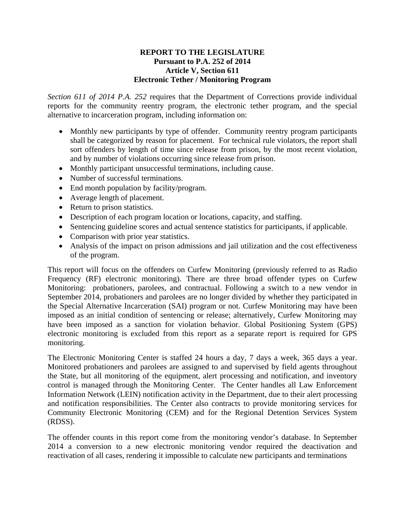## **REPORT TO THE LEGISLATURE Pursuant to P.A. 252 of 2014 Article V, Section 611 Electronic Tether / Monitoring Program**

*Section 611 of 2014 P.A. 252* requires that the Department of Corrections provide individual reports for the community reentry program, the electronic tether program, and the special alternative to incarceration program, including information on:

- Monthly new participants by type of offender. Community reentry program participants shall be categorized by reason for placement. For technical rule violators, the report shall sort offenders by length of time since release from prison, by the most recent violation, and by number of violations occurring since release from prison.
- Monthly participant unsuccessful terminations, including cause.
- Number of successful terminations.
- End month population by facility/program.
- Average length of placement.
- Return to prison statistics.
- Description of each program location or locations, capacity, and staffing.
- Sentencing guideline scores and actual sentence statistics for participants, if applicable.
- Comparison with prior year statistics.
- Analysis of the impact on prison admissions and jail utilization and the cost effectiveness of the program.

This report will focus on the offenders on Curfew Monitoring (previously referred to as Radio Frequency (RF) electronic monitoring). There are three broad offender types on Curfew Monitoring: probationers, parolees, and contractual. Following a switch to a new vendor in September 2014, probationers and parolees are no longer divided by whether they participated in the Special Alternative Incarceration (SAI) program or not. Curfew Monitoring may have been imposed as an initial condition of sentencing or release; alternatively, Curfew Monitoring may have been imposed as a sanction for violation behavior. Global Positioning System (GPS) electronic monitoring is excluded from this report as a separate report is required for GPS monitoring.

The Electronic Monitoring Center is staffed 24 hours a day, 7 days a week, 365 days a year. Monitored probationers and parolees are assigned to and supervised by field agents throughout the State, but all monitoring of the equipment, alert processing and notification, and inventory control is managed through the Monitoring Center. The Center handles all Law Enforcement Information Network (LEIN) notification activity in the Department, due to their alert processing and notification responsibilities. The Center also contracts to provide monitoring services for Community Electronic Monitoring (CEM) and for the Regional Detention Services System (RDSS).

The offender counts in this report come from the monitoring vendor's database. In September 2014 a conversion to a new electronic monitoring vendor required the deactivation and reactivation of all cases, rendering it impossible to calculate new participants and terminations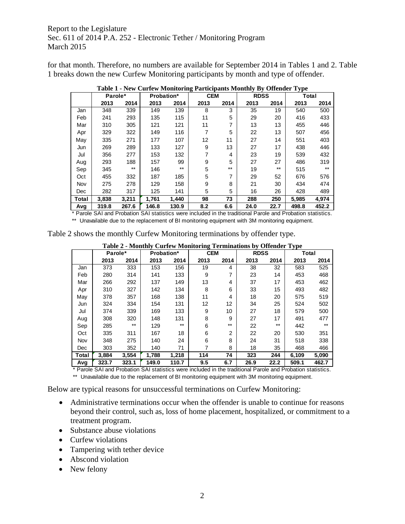Report to the Legislature Sec. 611 of 2014 P.A. 252 - Electronic Tether / Monitoring Program March 2015

for that month. Therefore, no numbers are available for September 2014 in Tables 1 and 2. Table 1 breaks down the new Curfew Monitoring participants by month and type of offender.

|       | Parole* |       | Probation* |       |      | <b>CEM</b> |      | <b>RDSS</b> |       | Total |  |
|-------|---------|-------|------------|-------|------|------------|------|-------------|-------|-------|--|
|       | 2013    | 2014  | 2013       | 2014  | 2013 | 2014       | 2013 | 2014        | 2013  | 2014  |  |
| Jan   | 348     | 339   | 149        | 139   | 8    | 3          | 35   | 19          | 540   | 500   |  |
| Feb   | 241     | 293   | 135        | 115   | 11   | 5          | 29   | 20          | 416   | 433   |  |
| Mar   | 310     | 305   | 121        | 121   | 11   | 7          | 13   | 13          | 455   | 446   |  |
| Apr   | 329     | 322   | 149        | 116   | 7    | 5          | 22   | 13          | 507   | 456   |  |
| May   | 335     | 271   | 177        | 107   | 12   | 11         | 27   | 14          | 551   | 403   |  |
| Jun   | 269     | 289   | 133        | 127   | 9    | 13         | 27   | 17          | 438   | 446   |  |
| Jul   | 356     | 277   | 153        | 132   |      | 4          | 23   | 19          | 539   | 432   |  |
| Aug   | 293     | 188   | 157        | 99    | 9    | 5          | 27   | 27          | 486   | 319   |  |
| Sep   | 345     | $***$ | 146        | $***$ | 5    | $***$      | 19   | $***$       | 515   | $***$ |  |
| Oct   | 455     | 332   | 187        | 185   | 5    | 7          | 29   | 52          | 676   | 576   |  |
| Nov   | 275     | 278   | 129        | 158   | 9    | 8          | 21   | 30          | 434   | 474   |  |
| Dec   | 282     | 317   | 125        | 141   | 5    | 5          | 16   | 26          | 428   | 489   |  |
| Total | 3,838   | 3,211 | 1.761      | 1.440 | 98   | 73         | 288  | 250         | 5,985 | 4.974 |  |
| Avg   | 319.8   | 267.6 | 146.8      | 130.9 | 8.2  | 6.6        | 24.0 | 22.7        | 498.8 | 452.2 |  |

**Table 1 - New Curfew Monitoring Participants Monthly By Offender Type**

\* Parole SAI and Probation SAI statistics were included in the traditional Parole and Probation statistics.

\*\* Unavailable due to the replacement of BI monitoring equipment with 3M monitoring equipment.

| Table 2 shows the monthly Curfew Monitoring terminations by offender type. |  |  |
|----------------------------------------------------------------------------|--|--|
|                                                                            |  |  |

|       | Parole* |       | <b>Probation*</b> |       | <b>CEM</b> |                | <b>RDSS</b> |       | <b>Total</b> |       |
|-------|---------|-------|-------------------|-------|------------|----------------|-------------|-------|--------------|-------|
|       | 2013    | 2014  | 2013              | 2014  | 2013       | 2014           | 2013        | 2014  | 2013         | 2014  |
| Jan   | 373     | 333   | 153               | 156   | 19         | 4              | 38          | 32    | 583          | 525   |
| Feb   | 280     | 314   | 141               | 133   | 9          | 7              | 23          | 14    | 453          | 468   |
| Mar   | 266     | 292   | 137               | 149   | 13         | 4              | 37          | 17    | 453          | 462   |
| Apr   | 310     | 327   | 142               | 134   | 8          | 6              | 33          | 15    | 493          | 482   |
| May   | 378     | 357   | 168               | 138   | 11         | 4              | 18          | 20    | 575          | 519   |
| Jun   | 324     | 334   | 154               | 131   | 12         | 12             | 34          | 25    | 524          | 502   |
| Jul   | 374     | 339   | 169               | 133   | 9          | 10             | 27          | 18    | 579          | 500   |
| Aug   | 308     | 320   | 148               | 131   | 8          | 9              | 27          | 17    | 491          | 477   |
| Sep   | 285     | $***$ | 129               | $***$ | 6          | $***$          | 22          | $***$ | 442          | $***$ |
| Oct   | 335     | 311   | 167               | 18    | 6          | $\overline{2}$ | 22          | 20    | 530          | 351   |
| Nov   | 348     | 275   | 140               | 24    | 6          | 8              | 24          | 31    | 518          | 338   |
| Dec   | 303     | 352   | 140               | 71    | 7          | 8              | 18          | 35    | 468          | 466   |
| Total | 3.884   | 3,554 | 1.788             | 1,218 | 114        | 74             | 323         | 244   | 6,109        | 5,090 |
| Avg   | 323.7   | 323.1 | 149.0             | 110.7 | 9.5        | 6.7            | 26.9        | 22.2  | 509.1        | 462.7 |

**Table 2 - Monthly Curfew Monitoring Terminations by Offender Type** 

\* Parole SAI and Probation SAI statistics were included in the traditional Parole and Probation statistics. \*\* Unavailable due to the replacement of BI monitoring equipment with 3M monitoring equipment.

Below are typical reasons for unsuccessful terminations on Curfew Monitoring:

- Administrative terminations occur when the offender is unable to continue for reasons beyond their control, such as, loss of home placement, hospitalized, or commitment to a treatment program.
- Substance abuse violations
- Curfew violations
- Tampering with tether device
- Abscond violation
- New felony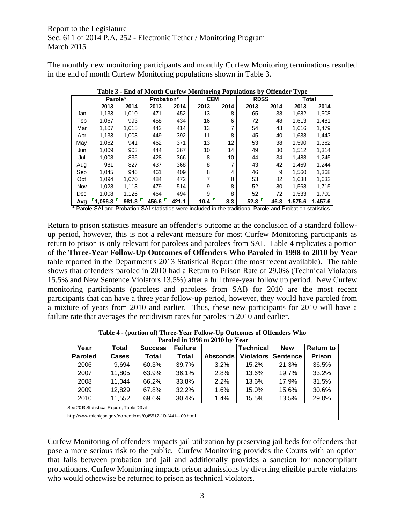Report to the Legislature Sec. 611 of 2014 P.A. 252 - Electronic Tether / Monitoring Program March 2015

The monthly new monitoring participants and monthly Curfew Monitoring terminations resulted in the end of month Curfew Monitoring populations shown in Table 3.

|     | Parole* |       | <b>Probation*</b> |       | <b>CEM</b> |      | <b>RDSS</b> |      | Total   |         |
|-----|---------|-------|-------------------|-------|------------|------|-------------|------|---------|---------|
|     | 2013    | 2014  | 2013              | 2014  | 2013       | 2014 | 2013        | 2014 | 2013    | 2014    |
| Jan | 1,133   | 1,010 | 471               | 452   | 13         | 8    | 65          | 38   | 1,682   | 1,508   |
| Feb | 1,067   | 993   | 458               | 434   | 16         | 6    | 72          | 48   | 1,613   | 1,481   |
| Mar | 1,107   | 1,015 | 442               | 414   | 13         | 7    | 54          | 43   | 1,616   | 1,479   |
| Apr | 1,133   | 1,003 | 449               | 392   | 11         | 8    | 45          | 40   | 1,638   | 1,443   |
| May | 1,062   | 941   | 462               | 371   | 13         | 12   | 53          | 38   | 1,590   | 1,362   |
| Jun | 1,009   | 903   | 444               | 367   | 10         | 14   | 49          | 30   | 1,512   | 1,314   |
| Jul | 1.008   | 835   | 428               | 366   | 8          | 10   | 44          | 34   | 1.488   | 1,245   |
| Aug | 981     | 827   | 437               | 368   | 8          | 7    | 43          | 42   | 1,469   | 1,244   |
| Sep | 1,045   | 946   | 461               | 409   | 8          | 4    | 46          | 9    | 1,560   | 1,368   |
| Oct | 1.094   | 1,070 | 484               | 472   |            | 8    | 53          | 82   | 1,638   | 1,632   |
| Nov | 1,028   | 1,113 | 479               | 514   | 9          | 8    | 52          | 80   | 1,568   | 1,715   |
| Dec | 1,008   | 1,126 | 464               | 494   | 9          | 8    | 52          | 72   | 1,533   | 1,700   |
| Avg | 1.056.3 | 981.8 | 456.6             | 421.1 | 10.4       | 8.3  | 52.3        | 46.3 | 1.575.6 | 1.457.6 |

**Table 3 - End of Month Curfew Monitoring Populations by Offender Type** 

\* Parole SAI and Probation SAI statistics were included in the traditional Parole and Probation statistics.

Return to prison statistics measure an offender's outcome at the conclusion of a standard followup period, however, this is not a relevant measure for most Curfew Monitoring participants as return to prison is only relevant for parolees and parolees from SAI. Table 4 replicates a portion of the **Three-Year Follow-Up Outcomes of Offenders Who Paroled in 1998 to 2010 by Year** table reported in the Department's 2013 Statistical Report (the most recent available). The table shows that offenders paroled in 2010 had a Return to Prison Rate of 29.0% (Technical Violators 15.5% and New Sentence Violators 13.5%) after a full three-year follow up period. New Curfew monitoring participants (parolees and parolees from SAI) for 2010 are the most recent participants that can have a three year follow-up period, however, they would have paroled from a mixture of years from 2010 and earlier. Thus, these new participants for 2010 will have a failure rate that averages the recidivism rates for paroles in 2010 and earlier.

| Year                                                             | Total  | <b>Success</b> | <b>Failure</b> |                 | <b>Technical</b> | <b>New</b>      | Return to |  |
|------------------------------------------------------------------|--------|----------------|----------------|-----------------|------------------|-----------------|-----------|--|
| <b>Paroled</b>                                                   | Cases  | Total          | Total          | <b>Absconds</b> | <b>Violators</b> | <b>Sentence</b> | Prison    |  |
| 2006                                                             | 9,694  | 60.3%          | 39.7%          | 3.2%            | 15.2%            | 21.3%           | 36.5%     |  |
| 2007                                                             | 11,805 | 63.9%          | 36.1%          | 2.8%            | 13.6%            | 19.7%           | 33.2%     |  |
| 2008                                                             | 11.044 | 66.2%          | 33.8%          | 2.2%            | 13.6%            | 17.9%           | 31.5%     |  |
| 2009                                                             | 12,829 | 67.8%          | 32.2%          | 1.6%            | 15.0%            | 15.6%           | 30.6%     |  |
| 2010                                                             | 11,552 | 69.6%          | 30.4%          | 1.4%            | 15.5%            | 13.5%           | 29.0%     |  |
| See 2013 Statistical Report, Table D3 at                         |        |                |                |                 |                  |                 |           |  |
| http://www.michigan.gov/corrections/0.4551.7-119-1441---.00.html |        |                |                |                 |                  |                 |           |  |

**Table 4 - (portion of) Three-Year Follow-Up Outcomes of Offenders Who Paroled in 1008 to 2010 by Ve** 

Curfew Monitoring of offenders impacts jail utilization by preserving jail beds for offenders that pose a more serious risk to the public. Curfew Monitoring provides the Courts with an option that falls between probation and jail and additionally provides a sanction for noncompliant probationers. Curfew Monitoring impacts prison admissions by diverting eligible parole violators who would otherwise be returned to prison as technical violators.